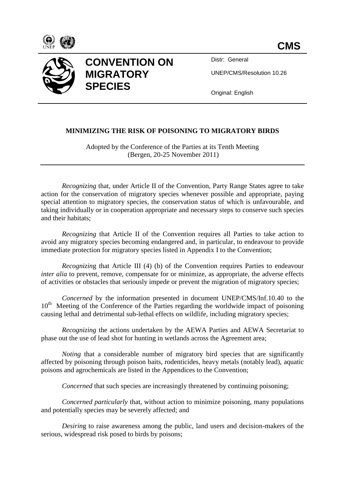



## **CONVENTION ON MIGRATORY SPECIES**

Distr: General

UNEP/CMS/Resolution 10.26

Original: English

## **MINIMIZING THE RISK OF POISONING TO MIGRATORY BIRDS**

Adopted by the Conference of the Parties at its Tenth Meeting (Bergen, 20-25 November 2011)

*Recognizing that, under Article II of the Convention, Party Range States agree to take* action for the conservation of migratory species whenever possible and appropriate, paying special attention to migratory species, the conservation status of which is unfavourable, and taking individually or in cooperation appropriate and necessary steps to conserve such species and their habitats;

*Recognizing* that Article II of the Convention requires all Parties to take action to avoid any migratory species becoming endangered and, in particular, to endeavour to provide immediate protection for migratory species listed in Appendix I to the Convention;

*Recognizing* that Article III (4) (b) of the Convention requires Parties to endeavour *inter alia* to prevent, remove, compensate for or minimize, as appropriate, the adverse effects of activities or obstacles that seriously impede or prevent the migration of migratory species;

*Concerned* by the information presented in document UNEP/CMS/Inf.10.40 to the  $10<sup>th</sup>$  Meeting of the Conference of the Parties regarding the worldwide impact of poisoning causing lethal and detrimental sub-lethal effects on wildlife, including migratory species;

*Recognizing* the actions undertaken by the AEWA Parties and AEWA Secretariat to phase out the use of lead shot for hunting in wetlands across the Agreement area;

*Noting* that a considerable number of migratory bird species that are significantly affected by poisoning through poison baits, rodenticides, heavy metals (notably lead), aquatic poisons and agrochemicals are listed in the Appendices to the Convention;

*Concerned* that such species are increasingly threatened by continuing poisoning;

*Concerned particularly* that, without action to minimize poisoning, many populations and potentially species may be severely affected; and

*Desirin*g to raise awareness among the public, land users and decision-makers of the serious, widespread risk posed to birds by poisons;